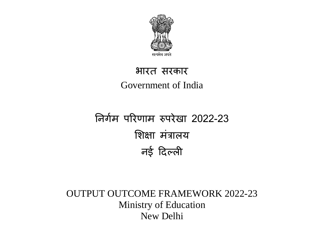

## भारत सरकार Government of India

# निर्गम पररणाम रुपरेखा 2022-23 शिक्षा मंत्रालय िई दिल्ली

### OUTPUT OUTCOME FRAMEWORK 2022-23 Ministry of Education New Delhi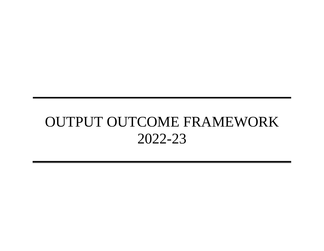# OUTPUT OUTCOME FRAMEWORK 2022-23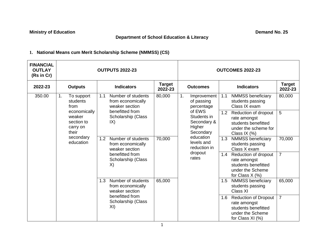**Ministry of Education Demand No. 25** 

#### **Department of School Education & Literacy**

#### **1. National Means cum Merit Scholarship Scheme (NMMSS) (CS)**

| <b>FINANCIAL</b><br><b>OUTLAY</b><br>(Rs in Cr)                                                                          | <b>OUTPUTS 2022-23</b>                                    |                                                                  |                                                             | <b>OUTCOMES 2022-23</b>                                                                                    |                                                                                                                   |                          |  |
|--------------------------------------------------------------------------------------------------------------------------|-----------------------------------------------------------|------------------------------------------------------------------|-------------------------------------------------------------|------------------------------------------------------------------------------------------------------------|-------------------------------------------------------------------------------------------------------------------|--------------------------|--|
| 2022-23                                                                                                                  | <b>Outputs</b>                                            | <b>Indicators</b>                                                | <b>Target</b><br>2022-23                                    | <b>Outcomes</b>                                                                                            | <b>Indicators</b>                                                                                                 | <b>Target</b><br>2022-23 |  |
| 350.00                                                                                                                   | 1.<br>To support<br>students<br>from                      | Number of students<br>1.1<br>from economically<br>weaker section | 80,000                                                      | 1.<br>Improvement<br>of passing<br>percentage                                                              | 1.1<br><b>NMMSS beneficiary</b><br>students passing<br>Class IX exam                                              | 80,000                   |  |
| economically<br>weaker<br>section to<br>$\mathsf{IX}$<br>carry on<br>their<br>secondary<br>1.2<br>education<br>X)<br>1.3 | benefitted from<br>Scholarship (Class                     |                                                                  | of EWS<br>Students in<br>Secondary &<br>Higher<br>Secondary | Reduction of dropout<br>1.2<br>rate amongst<br>students benefitted<br>under the scheme for<br>Class IX (%) | 5                                                                                                                 |                          |  |
|                                                                                                                          | Number of students<br>from economically<br>weaker section | 70,000                                                           | education<br>levels and<br>reduction in                     | <b>NMMSS beneficiary</b><br>1.3<br>students passing<br>Class X exam                                        | 70,000                                                                                                            |                          |  |
|                                                                                                                          | benefitted from<br>Scholarship (Class                     |                                                                  | dropout<br>rates                                            | 1.4<br>Reduction of dropout<br>rate amongst<br>students benefitted<br>under the Scheme<br>for Class X (%)  | $\overline{7}$                                                                                                    |                          |  |
|                                                                                                                          |                                                           | Number of students<br>from economically<br>weaker section        | 65,000                                                      |                                                                                                            | NMMSS beneficiary<br>1.5<br>students passing<br>Class XI                                                          | 65,000                   |  |
|                                                                                                                          |                                                           | benefitted from<br>Scholarship (Class<br>XI)                     |                                                             |                                                                                                            | <b>Reduction of Dropout</b><br>1.6<br>rate amongst<br>students benefitted<br>under the Scheme<br>for Class XI (%) | $\overline{7}$           |  |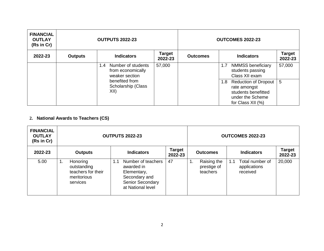| <b>FINANCIAL</b><br><b>OUTLAY</b><br>(Rs in Cr) | <b>OUTPUTS 2022-23</b> |                                                                  |                   | <b>OUTCOMES 2022-23</b> |                                                                                                                    |                          |  |
|-------------------------------------------------|------------------------|------------------------------------------------------------------|-------------------|-------------------------|--------------------------------------------------------------------------------------------------------------------|--------------------------|--|
| 2022-23                                         | <b>Outputs</b>         | <b>Indicators</b>                                                | Target<br>2022-23 | <b>Outcomes</b>         | <b>Indicators</b>                                                                                                  | <b>Target</b><br>2022-23 |  |
|                                                 |                        | Number of students<br>1.4<br>from economically<br>weaker section | 57,000            |                         | <b>NMMSS beneficiary</b><br>1.7<br>students passing<br>Class XII exam                                              | 57,000                   |  |
|                                                 |                        | benefited from<br>Scholarship (Class<br>XII)                     |                   |                         | <b>Reduction of Dropout</b><br>1.8<br>rate amongst<br>students benefitted<br>under the Scheme<br>for Class XII (%) | 5                        |  |

#### **2. National Awards to Teachers (CS)**

| <b>FINANCIAL</b><br><b>OUTLAY</b><br>(Rs in Cr) | <b>OUTPUTS 2022-23</b>                                                         |                                                                                                                  |                          |                                              | <b>OUTCOMES 2022-23</b>                            |                          |
|-------------------------------------------------|--------------------------------------------------------------------------------|------------------------------------------------------------------------------------------------------------------|--------------------------|----------------------------------------------|----------------------------------------------------|--------------------------|
| 2022-23                                         | <b>Outputs</b>                                                                 | <b>Indicators</b>                                                                                                | <b>Target</b><br>2022-23 | <b>Outcomes</b>                              | <b>Indicators</b>                                  | <b>Target</b><br>2022-23 |
| 5.00                                            | Honoring<br>1.<br>outstanding<br>teachers for their<br>meritorious<br>services | Number of teachers<br>1.1<br>awarded in<br>Elementary,<br>Secondary and<br>Senior Secondary<br>at National level | 47                       | Raising the<br>1.<br>prestige of<br>teachers | Total number of<br>1.1<br>applications<br>received | 20,000                   |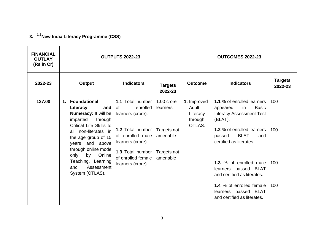#### **3. 1,2New India Literacy Programme (CSS)**

| <b>FINANCIAL</b><br><b>OUTLAY</b><br>(Rs in Cr) | <b>OUTPUTS 2022-23</b>                                                                                                                                                                                                                  |                                                                                                                                                                |                                                                                |                                                       | <b>OUTCOMES 2022-23</b>                                                                                                                                                                              |                           |  |
|-------------------------------------------------|-----------------------------------------------------------------------------------------------------------------------------------------------------------------------------------------------------------------------------------------|----------------------------------------------------------------------------------------------------------------------------------------------------------------|--------------------------------------------------------------------------------|-------------------------------------------------------|------------------------------------------------------------------------------------------------------------------------------------------------------------------------------------------------------|---------------------------|--|
| 2022-23                                         | Output                                                                                                                                                                                                                                  | <b>Indicators</b>                                                                                                                                              | <b>Targets</b><br>2022-23                                                      | <b>Outcome</b>                                        | <b>Indicators</b>                                                                                                                                                                                    | <b>Targets</b><br>2022-23 |  |
| 127.00                                          | <b>Foundational</b><br>1.<br>Literacy<br>and<br>Numeracy: It will be<br>through<br>imparted<br>Critical Life Skills to<br>all non-literates in<br>the age group of 15<br>years and above<br>through online mode<br>only<br>by<br>Online | 1.1 Total number<br>of<br>enrolled<br>learners (crore).<br>1.2 Total number<br>of enrolled male<br>learners (crore).<br>1.3 Total number<br>of enrolled female | $1.00$ crore<br>learners<br>Targets not<br>amenable<br>Targets not<br>amenable | 1. Improved<br>Adult<br>Literacy<br>through<br>OTLAS. | 1.1 % of enrolled learners<br><b>Basic</b><br>appeared<br>in.<br><b>Literacy Assessment Test</b><br>(BLAT).<br>1.2 % of enrolled learners<br><b>BLAT</b><br>passed<br>and<br>certified as literates. | 100<br>100                |  |
|                                                 | Teaching, Learning<br>and<br>Assessment<br>System (OTLAS).                                                                                                                                                                              | learners (crore).                                                                                                                                              |                                                                                |                                                       | 1.3 % of enrolled male<br>learners passed BLAT<br>and certified as literates.                                                                                                                        | 100                       |  |
|                                                 |                                                                                                                                                                                                                                         |                                                                                                                                                                |                                                                                |                                                       | 1.4 % of enrolled female<br>learners passed BLAT<br>and certified as literates.                                                                                                                      | 100                       |  |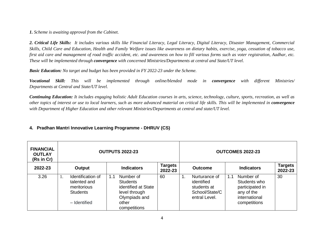*1. Scheme is awaiting approval from the Cabinet.*

*2. Critical Life Skills: It includes various skills like Financial Literacy, Legal Literacy, Digital Literacy, Disaster Management, Commercial Skills, Child Care and Education, Health and Family Welfare issues like awareness on dietary habits, exercise, yoga, cessation of tobacco use, first aid care and management of road traffic accident, etc. and awareness on how to fill various forms such as voter registration, Aadhar, etc. These will be implemented through convergence with concerned Ministries/Departments at central and State/UT level.*

*Basic Education: No target and budget has been provided in FY 2022-23 under the Scheme.*

*Vocational Skill: This will be implemented through online/blended mode in convergence with different Ministries/ Departments at Central and State/UT level.*

*Continuing Education: It includes engaging holistic Adult Education courses in arts, science, technology, culture, sports, recreation, as well as*  other topics of interest or use to local learners, such as more advanced material on critical life skills. This will be implemented in **convergence** *with Department of Higher Education and other relevant Ministries/Departments at central and state/UT level.*

#### **4. Pradhan Mantri Innovative Learning Programme - DHRUV (CS)**

| <b>FINANCIAL</b><br><b>OUTLAY</b><br>(Rs in Cr) | <b>OUTPUTS 2022-23</b>                                                                    |                                                                                                                       |                           |                                                                                     | <b>OUTCOMES 2022-23</b>                                                                            |                           |
|-------------------------------------------------|-------------------------------------------------------------------------------------------|-----------------------------------------------------------------------------------------------------------------------|---------------------------|-------------------------------------------------------------------------------------|----------------------------------------------------------------------------------------------------|---------------------------|
| 2022-23                                         | Output                                                                                    | <b>Indicators</b>                                                                                                     | <b>Targets</b><br>2022-23 | <b>Outcome</b>                                                                      | <b>Indicators</b>                                                                                  | <b>Targets</b><br>2022-23 |
| 3.26                                            | Identification of<br>Ι.<br>talented and<br>meritorious<br><b>Students</b><br>- Identified | Number of<br>1.1<br><b>Students</b><br>identified at State<br>level through<br>Olympiads and<br>other<br>competitions | 60                        | Nurturance of<br>1.<br>identified<br>students at<br>School/State/C<br>entral Level. | Number of<br>1.1<br>Students who<br>participated in<br>any of the<br>international<br>competitions | 30                        |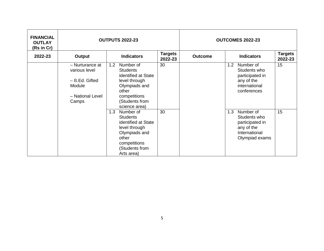| <b>FINANCIAL</b><br><b>OUTLAY</b><br>(Rs in Cr) | <b>OUTPUTS 2022-23</b>                                                                    |                                                                                                                                                          |                           |                | <b>OUTCOMES 2022-23</b>                                                                              |                           |
|-------------------------------------------------|-------------------------------------------------------------------------------------------|----------------------------------------------------------------------------------------------------------------------------------------------------------|---------------------------|----------------|------------------------------------------------------------------------------------------------------|---------------------------|
| 2022-23                                         | Output                                                                                    | <b>Indicators</b>                                                                                                                                        | <b>Targets</b><br>2022-23 | <b>Outcome</b> | <b>Indicators</b>                                                                                    | <b>Targets</b><br>2022-23 |
|                                                 | - Nurturance at<br>various level<br>- B.Ed. Gifted<br>Module<br>- National Level<br>Camps | 1.2<br>Number of<br><b>Students</b><br>identified at State<br>level through<br>Olympiads and<br>other<br>competitions<br>(Students from<br>science area) | 30                        |                | Number of<br>1.2<br>Students who<br>participated in<br>any of the<br>international<br>conferences    | 15                        |
|                                                 |                                                                                           | Number of<br>1.3<br><b>Students</b><br>identified at State<br>level through<br>Olympiads and<br>other<br>competitions<br>(Students from<br>Arts area)    | 30                        |                | Number of<br>1.3<br>Students who<br>participated in<br>any of the<br>International<br>Olympiad exams | 15                        |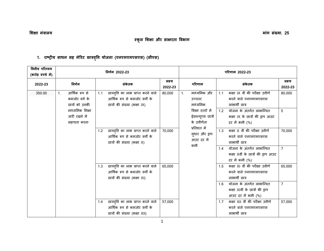### **स्कूऱ शिऺा और साऺरता विभाग**

#### **1. राष्ट्रीय साधन सह मेररट छात्रिवृि योजना (एनएमएमएसएस) (सीएस)**

| वितीय परिव्यय<br>(करोड़ रुपये में) | निर्गम 2022-23                                                      |                                                                                                             |                   | परिणाम 2022-23 |                                                          |     |                                                                                     |                   |
|------------------------------------|---------------------------------------------------------------------|-------------------------------------------------------------------------------------------------------------|-------------------|----------------|----------------------------------------------------------|-----|-------------------------------------------------------------------------------------|-------------------|
| 2022-23                            | निर्गम                                                              | संकेतक                                                                                                      | लक्ष्य<br>2022-23 |                | परिणाम                                                   |     | संकेतक                                                                              | लक्ष्य<br>2022-23 |
| 350.00                             | आर्थिक रूप से<br>$\mathbf{1}$ .<br>कमजोर वर्ग के<br>छात्रों को उनकी | छात्रवृति का लाभ प्राप्त करने वाले<br>1.1<br>आर्थिक रूप से कमजोर वर्गों के<br>छात्रों की संख्या (कक्षा IX)  | 80,000            | 1 <sub>1</sub> | माध्यमिक और<br>उच्चतर<br>माध्यमिक                        | 1.1 | कक्षा IX वीं की परीक्षा उत्तीर्ण<br>करने वाले एनएमएमएसएस<br>लाभार्थी छात्र          | 80,000            |
|                                    | माध्यमिक शिक्षा<br>जारी रखने में<br>सहायता करना                     |                                                                                                             |                   |                | शिक्षा स्तरों में<br>ईडब्ल्यूएस छात्रों<br>के उत्तीर्णता | 1.2 | योजना के अंतर्गत लाभान्वित<br>कक्षा IX के छात्रों की ड्राप आउट<br>दर में कमी (%)    | 5                 |
|                                    |                                                                     | छात्रवृत्ति का लाभ प्राप्त करने वाले<br>1.2<br>आर्थिक रूप से कमजोर वर्गों के<br>छात्रों की संख्या (कक्षा X) | 70,000            |                | प्रतिशत में<br>सुधार और ड्राप<br>आउट दर में<br>कमी       | 1.3 | कक्षा X वीं की परीक्षा उत्तीर्ण<br>करने वाले एनएमएमएसएस<br>নাभार्थी छात्र           | 70,000            |
|                                    |                                                                     |                                                                                                             |                   |                |                                                          | 1.4 | योजना के अंतर्गत लाभान्वित<br>कक्षा Xवीं के छात्रों की ड्राप आउट<br>दर में कमी (%)  | $\overline{7}$    |
|                                    |                                                                     | छात्रवृति का लाभ प्राप्त करने वाले<br>1.3<br>आर्थिक रूप से कमजोर वर्गों के<br>छात्रों की संख्या (कक्षा XI)  | 65,000            |                |                                                          | 1.5 | कक्षा XI वीं की परीक्षा उत्तीर्ण<br>करने वाले एनएमएमएसएस<br>নাभार्थी छात्र          | 65.000            |
|                                    |                                                                     |                                                                                                             |                   |                |                                                          | 1.6 | योजना के अंतर्गत लाभान्वित<br>कक्षा XIवीं के छात्रों की ड्राप<br>आउट दर में कमी (%) | 7                 |
|                                    |                                                                     | छात्रवृति का लाभ प्राप्त करने वाले<br>1.4<br>आर्थिक रूप से कमजोर वर्गों के<br>छात्रों की संख्या (कक्षा XII) | 57,000            |                |                                                          | 1.7 | कक्षा XII वीं की परीक्षा उत्तीर्ण<br>करने वाले एनएमएमएसएस<br>নাभार्थी छात्र         | 57,000            |

1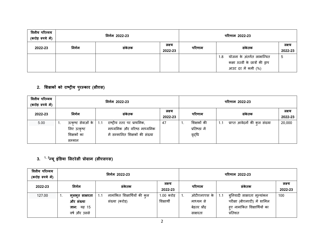| वित्तीय परिव्यय<br>(करोड़ रुपये में) | निर्गम 2022-23 |        |                   |        | परिणाम 2022-23                                                                              |                   |  |
|--------------------------------------|----------------|--------|-------------------|--------|---------------------------------------------------------------------------------------------|-------------------|--|
| 2022-23                              | निर्गम         | संकेतक | लक्ष्य<br>2022-23 | परिणाम | संकेतक                                                                                      | लक्ष्य<br>2022-23 |  |
|                                      |                |        |                   |        | योजना के अंतर्गत लाभान्वित<br>1.8<br>कक्षा XIIवीं के छात्रों की ड्राप<br>आउट दर में कमी (%) | ა                 |  |

#### **2. शिऺकों को राष्ट्रीय ऩुरस्कार (सीएस)**

| वितीय परिव्यय<br>(करोड़ रुपये में) | निर्गम 2022-23                                                     |                                                                                                      |                   | परिणाम 2022-23                         |                                      |                   |  |
|------------------------------------|--------------------------------------------------------------------|------------------------------------------------------------------------------------------------------|-------------------|----------------------------------------|--------------------------------------|-------------------|--|
| 2022-23                            | निर्गम                                                             | संकेतक                                                                                               | लक्ष्य<br>2022-23 | परिणाम                                 | सकेतक                                | लक्ष्य<br>2022-23 |  |
| 5.00                               | उत्कृष्ट सेवाओं के<br>-1.<br>लिए उत्कृष्ट<br>शिक्षकों का<br>सम्मान | राष्ट्रीय स्तर पर प्राथमिक,<br>1.1<br>माध्यमिक और वरिष्ठ माध्यमिक<br>में सम्मानित शिक्षकों की संख्या | 47                | शिक्षकों की<br>प्रतिष्ठा में<br>वृद्धि | प्राप्त आवेदनों की कुल संख्या<br>1.1 | 20,000            |  |

### **3. 1, 2न्यूइंडिया शऱटरेसी प्रोग्राम (सीएसएस)**

| वित्तीय परिव्यय<br>(करोड़ रुपये में) | निर्गम 2022-23                                                            |                                                        |                          |                                                      | परिणाम 2022-23                                                                                               |                   |  |
|--------------------------------------|---------------------------------------------------------------------------|--------------------------------------------------------|--------------------------|------------------------------------------------------|--------------------------------------------------------------------------------------------------------------|-------------------|--|
| 2022-23                              | निर्गम                                                                    | सकेतक                                                  | लक्ष्य<br>2022-23        | परिणाम                                               | संकेतक                                                                                                       | लक्ष्य<br>2022-23 |  |
| 127.00                               | मूलभूत साक्षरता<br>л.<br>और संख्या<br><b>ज्ञान:</b> यह 15<br>वर्ष और उससे | नामांकित शिक्षार्थियों की कुल<br>1.1<br>संख्या (करोड़) | 1.00 करोड़<br>शिक्षार्थी | ओटीएलएएस के<br>माध्यम से<br>बेहतर प्रौढ़<br>साक्षरता | ब्नियादी साक्षरता मूल्यांकन<br>1.1<br>परीक्षा (बीएलएटी) में शामिल<br>हए नामांकित शिक्षार्थियों का<br>प्रतिशत | 100               |  |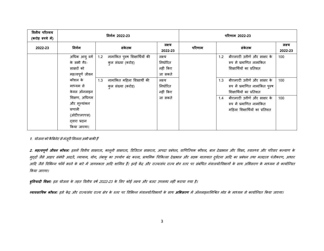| वित्तीय परिव्यय<br>(करोड़ रुपये में) | निर्गम 2022-23                                                                        |                                                              |                                            | परिणाम 2022-23 |                                                                                                     |                   |  |
|--------------------------------------|---------------------------------------------------------------------------------------|--------------------------------------------------------------|--------------------------------------------|----------------|-----------------------------------------------------------------------------------------------------|-------------------|--|
| 2022-23                              | निर्गम                                                                                | संकेतक                                                       | लक्ष्य<br>2022-23                          | परिणाम         | संकेतक                                                                                              | लक्ष्य<br>2022-23 |  |
|                                      | अधिक आयु वर्ग  <br>के सभी गैर-<br>साक्षरों को<br>महत्वपूर्ण जीवन                      | नामांकित पुरुष शिक्षार्थियों की<br>1.2<br>कुल संख्या (करोड़) | लक्ष्य<br>निर्धारित<br>नहीं किए<br>जा सकते |                | बीएलएटी उत्तीर्ण और साक्षर के<br>1.2<br>रूप में प्रमाणित नामांकित<br>शिक्षार्थियों का प्रतिशत       | 100               |  |
|                                      | कौशल के<br>माध्यम से<br>केवल ऑनलाइन                                                   | नामांकित महिला शिक्षार्थी की<br>1.3<br>कुल संख्या (करोड़)    | लक्ष्य<br>निर्धारित<br>नहीं किए            |                | बीएलएटी उत्तीर्ण और साक्षर के<br>1.3<br>रूप में प्रमाणित नामांकित पुरुष<br>शिक्षार्थियों का प्रतिशत | 100               |  |
|                                      | शिक्षण, अधिगम<br>और मूल्यांकन<br>प्रणाली<br>(ओटीएलएएस)<br>दवारा प्रदान<br>किया जाएगा। |                                                              | जा सकते                                    |                | बीएलएटी उत्तीर्ण और साक्षर के<br>1.4<br>रूप में प्रमाणित नामांकित<br>महिला शिक्षार्थियों का प्रतिशत | 100               |  |

1. योजना को कैबिनेट से मंजूरी मिलना अभी बाकी हैं<sup>.</sup>

2. महत्वपूर्ण जीवन कौशल: इसमें वितीय साक्षरता, कानूनी साक्षरता, डिजिटल साक्षरता, आपदा प्रबंधन, बाल आर बाल और शिक्षा, स्वास्थ्य और परिवार कल्याण के मुद्दों जैसे आहार संबंधी आदतें, व्यायाम, योग, तंबाकू का उपयोग बंद करना, प्राथमिक चिकित्सा देखभाल महार अगर का अब<br>मुद्दों जैसे आहार संबंधी आदतें, व्यायाम, योग, तंबाकू का उपयोग बंद करना, प्राथमिक चिकित्सा देखभाल अगर का प्रकं आदि जैसे विभिन्न फॉर्म भरने के बारे में जागरूकता आदि शामिल हैं। इन्हें केंद्र और राज्यक्षेत्र सर संबंधित मंत्रालयों/विभागों के साथ अभिसरण के माध्यम से कार्यान्वित ककमा जाएगा।

**बुननयादी शिऺा:** इस मोजना के तहत ववत्तीम वर्ष 2022-23 के लरए कोई रक्ष्म औय फजट उऩरब्ध नहीं कयामा गमा है।

**व्यावसायिक कौशल:** इसे केंद्र और राज्य/संघ राज्य क्षेत्र के रूर पिभिन्न मंत्रालयों/विभागों के साथ **अभिसरण** में ऑनलाइन/मिश्रित मोड के माध्यम से कार्यान्वित किया जाएगा।